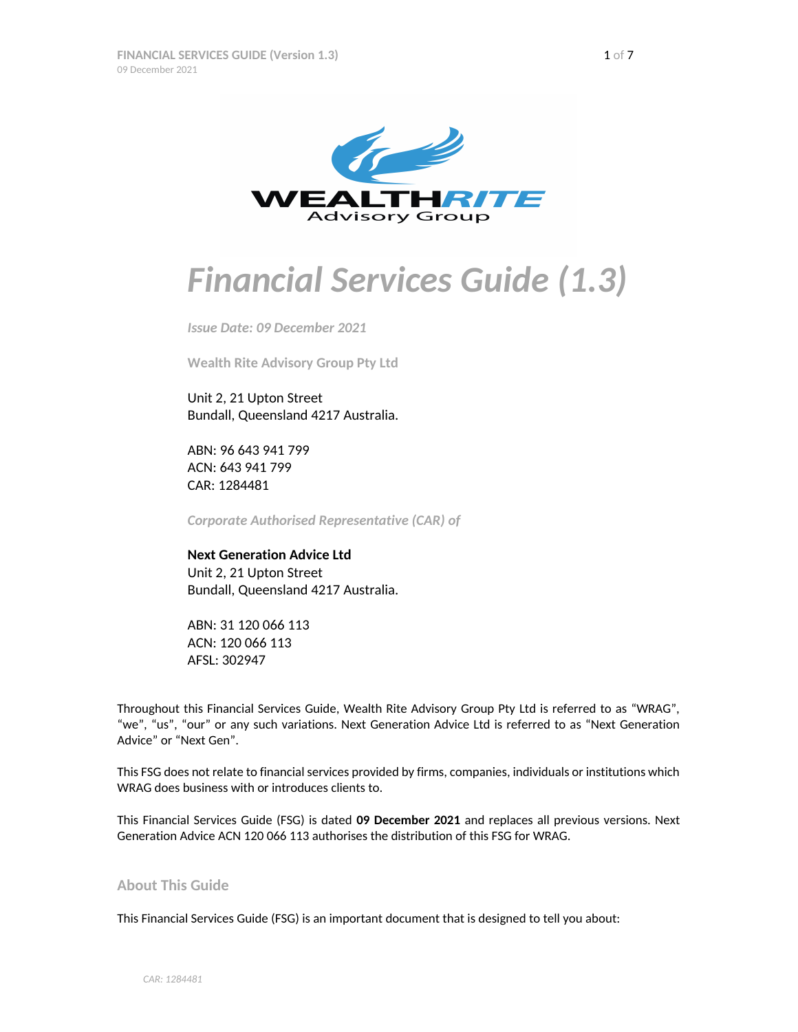

# *Financial Services Guide (1.3)*

*Issue Date: 09 December 2021*

**Wealth Rite Advisory Group Pty Ltd**

Unit 2, 21 Upton Street Bundall, Queensland 4217 Australia.

ABN: 96 643 941 799 ACN: 643 941 799 CAR: 1284481

*Corporate Authorised Representative (CAR) of*

**Next Generation Advice Ltd** Unit 2, 21 Upton Street Bundall, Queensland 4217 Australia.

ABN: 31 120 066 113 ACN: 120 066 113 AFSL: 302947

Throughout this Financial Services Guide, Wealth Rite Advisory Group Pty Ltd is referred to as "WRAG", "we", "us", "our" or any such variations. Next Generation Advice Ltd is referred to as "Next Generation Advice" or "Next Gen".

This FSG does not relate to financial services provided by firms, companies, individuals or institutions which WRAG does business with or introduces clients to.

This Financial Services Guide (FSG) is dated **09 December 2021** and replaces all previous versions. Next Generation Advice ACN 120 066 113 authorises the distribution of this FSG for WRAG.

# **About This Guide**

This Financial Services Guide (FSG) is an important document that is designed to tell you about: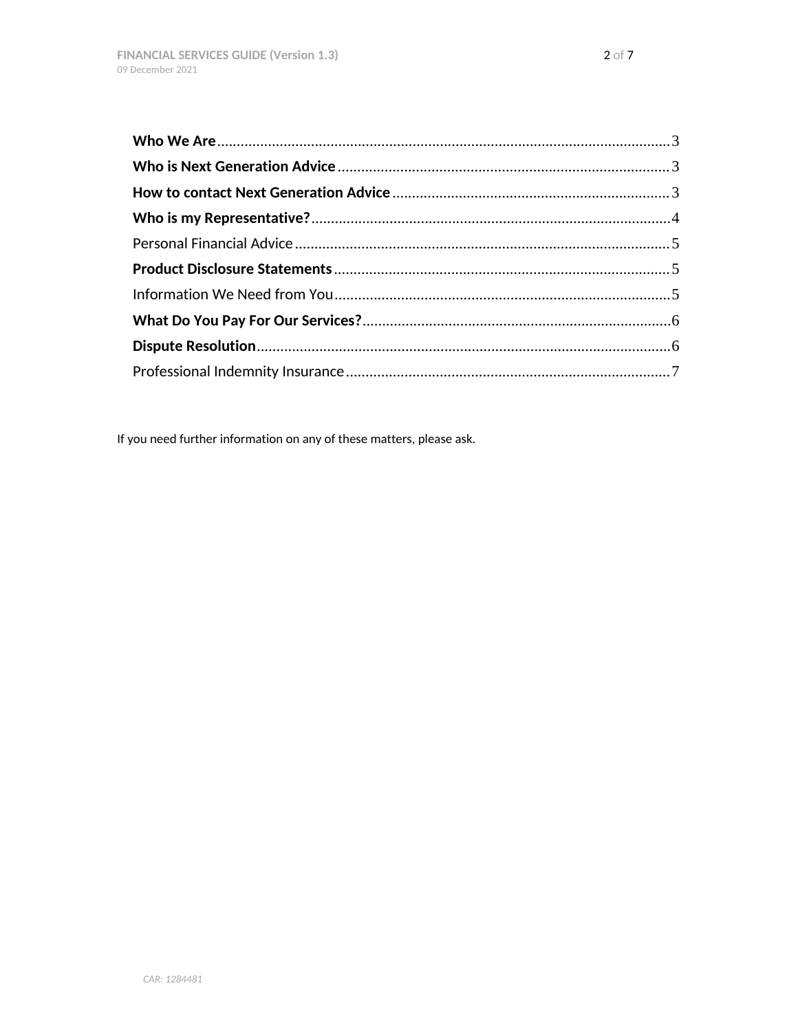If you need further information on any of these matters, please ask.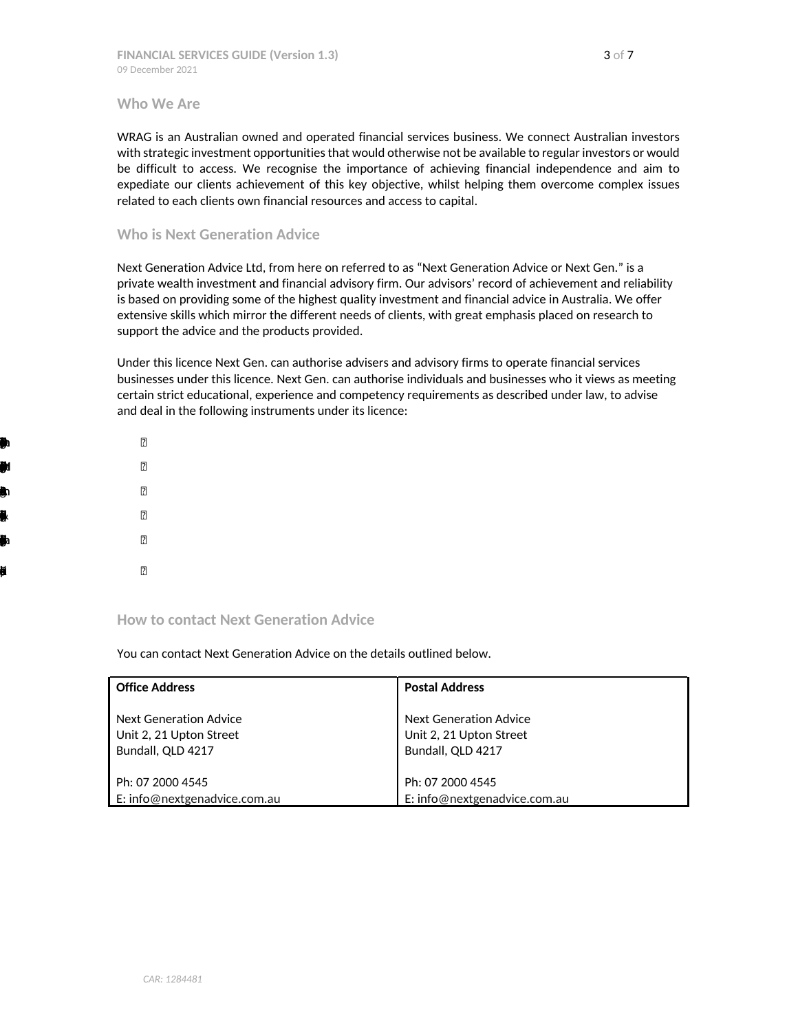<span id="page-2-0"></span>**Who We Are**

WRAG is an Australian owned and operated financial services business. We connect Australian investors with strategic investment opportunities that would otherwise not be available to regular investors or would be difficult to access. We recognise the importance of achieving financial independence and aim to expediate our clients achievement of this key objective, whilst helping them overcome complex issues related to each clients own financial resources and access to capital.

## <span id="page-2-1"></span>**Who is Next Generation Advice**

Next Generation Advice Ltd, from here on referred to as "Next Generation Advice or Next Gen." is a private wealth investment and financial advisory firm. Our advisors' record of achievement and reliability is based on providing some of the highest quality investment and financial advice in Australia. We offer extensive skills which mirror the different needs of clients, with great emphasis placed on research to support the advice and the products provided.

Under this licence Next Gen. can authorise advisers and advisory firms to operate financial services businesses under this licence. Next Gen. can authorise individuals and businesses who it views as meeting certain strict educational, experience and competency requirements as described under law, to advise and deal in the following instruments under its licence:

Life $P$ MangedIvstmnSches(inludgmaefns,IDPSyndicates&unirt) RetirmnSavgsAcount Securits(ncludige) and the contract of the contract of the contract of the contract of the contract of the contract of the contract of the contract of the contract of the contract of the contract of the contract of the con  $\mathbf{S}$ Risknuracepoduts

# <span id="page-2-2"></span>**How to contact Next Generation Advice**

You can contact Next Generation Advice on the details outlined below.

| <b>Office Address</b>         | <b>Postal Address</b>         |
|-------------------------------|-------------------------------|
| <b>Next Generation Advice</b> | <b>Next Generation Advice</b> |
| Unit 2, 21 Upton Street       | Unit 2, 21 Upton Street       |
| Bundall, QLD 4217             | Bundall, QLD 4217             |
| Ph: 07 2000 4545              | Ph: 07 2000 4545              |
| E: info@nextgenadvice.com.au  | E: info@nextgenadvice.com.au  |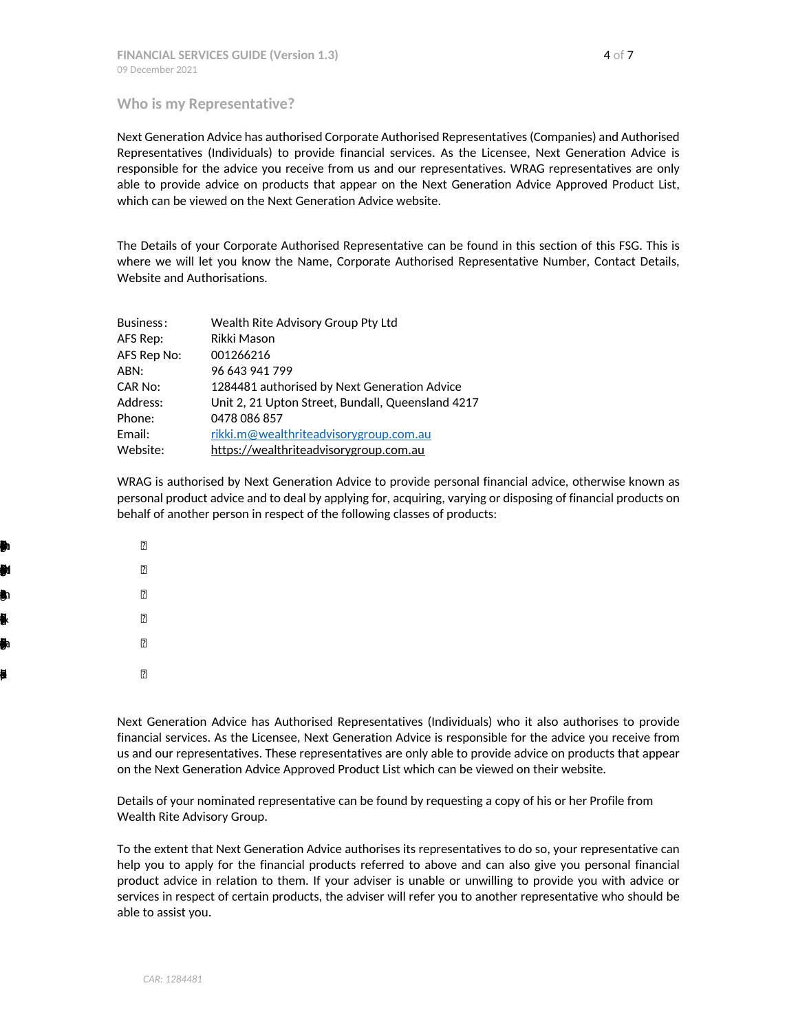#### <span id="page-3-0"></span>**Who is my Representative?**

Next Generation Advice has authorised Corporate Authorised Representatives (Companies) and Authorised Representatives (Individuals) to provide financial services. As the Licensee, Next Generation Advice is responsible for the advice you receive from us and our representatives. WRAG representatives are only able to provide advice on products that appear on the Next Generation Advice Approved Product List, which can be viewed on the Next Generation Advice website.

The Details of your Corporate Authorised Representative can be found in this section of this FSG. This is where we will let you know the Name, Corporate Authorised Representative Number, Contact Details, Website and Authorisations.

| Business:   | Wealth Rite Advisory Group Pty Ltd                |
|-------------|---------------------------------------------------|
| AFS Rep:    | Rikki Mason                                       |
| AFS Rep No: | 001266216                                         |
| ABN:        | 96 643 941 799                                    |
| CAR No:     | 1284481 authorised by Next Generation Advice      |
| Address:    | Unit 2, 21 Upton Street, Bundall, Queensland 4217 |
| Phone:      | 0478 086 857                                      |
| Email:      | rikki.m@wealthriteadvisorygroup.com.au            |
| Website:    | https://wealthriteadvisorygroup.com.au            |

WRAG is authorised by Next Generation Advice to provide personal financial advice, otherwise known as personal product advice and to deal by applying for, acquiring, varying or disposing of financial products on behalf of another person in respect of the following classes of products:

Life $P$ MangedIvstmnSches(inludgmaefns,IDPSyndicates&unirt) RetirmnSavgsAcount Securits(ncludige) and the contract of the contract of the contract of the contract of the contract of the contract of the contract of the contract of the contract of the contract of the contract of the contract of the con  $\mathbf{S}$ Risknuracepoduts

> Next Generation Advice has Authorised Representatives (Individuals) who it also authorises to provide financial services. As the Licensee, Next Generation Advice is responsible for the advice you receive from us and our representatives. These representatives are only able to provide advice on products that appear on the Next Generation Advice Approved Product List which can be viewed on their website.

Details of your nominated representative can be found by requesting a copy of his or her Profile from Wealth Rite Advisory Group.

To the extent that Next Generation Advice authorises its representatives to do so, your representative can help you to apply for the financial products referred to above and can also give you personal financial product advice in relation to them. If your adviser is unable or unwilling to provide you with advice or services in respect of certain products, the adviser will refer you to another representative who should be able to assist you.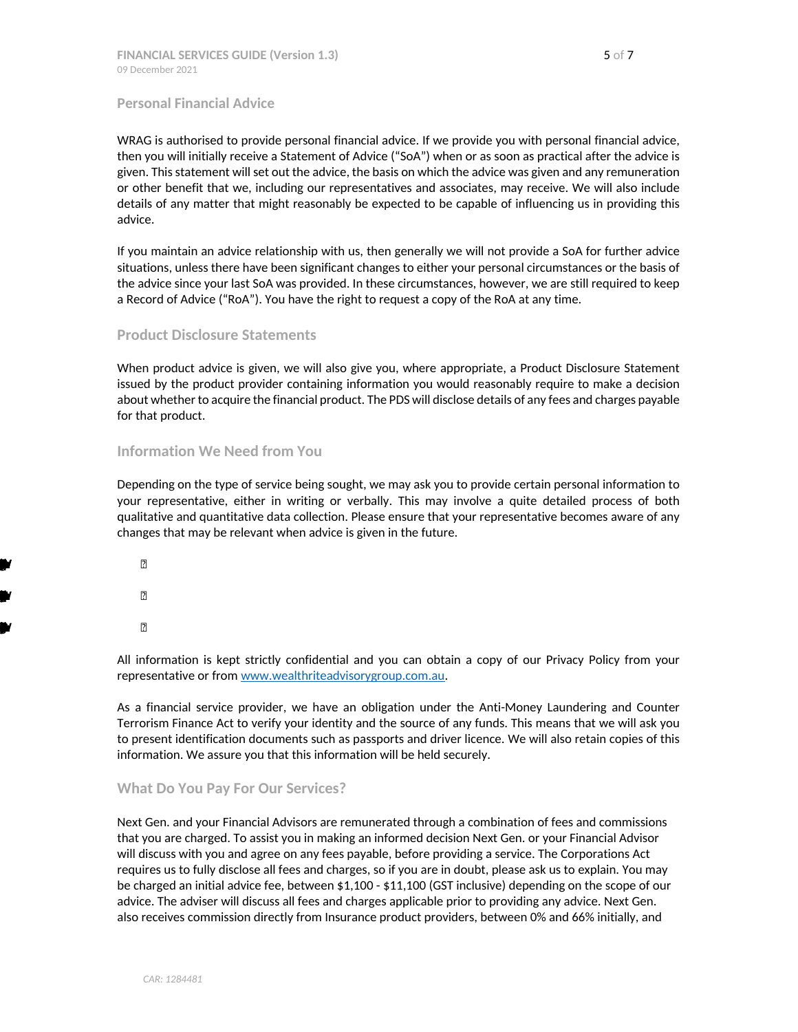#### <span id="page-4-0"></span>**Personal Financial Advice**

WRAG is authorised to provide personal financial advice. If we provide you with personal financial advice, then you will initially receive a Statement of Advice ("SoA") when or as soon as practical after the advice is given. This statement will set out the advice, the basis on which the advice was given and any remuneration or other benefit that we, including our representatives and associates, may receive. We will also include details of any matter that might reasonably be expected to be capable of influencing us in providing this advice.

If you maintain an advice relationship with us, then generally we will not provide a SoA for further advice situations, unless there have been significant changes to either your personal circumstances or the basis of the advice since your last SoA was provided. In these circumstances, however, we are still required to keep a Record of Advice ("RoA"). You have the right to request a copy of the RoA at any time.

### <span id="page-4-1"></span>**Product Disclosure Statements**

When product advice is given, we will also give you, where appropriate, a Product Disclosure Statement issued by the product provider containing information you would reasonably require to make a decision about whether to acquire the financial product. The PDS will disclose details of any fees and charges payable for that product.

### <span id="page-4-2"></span>**Information We Need from You**

Depending on the type of service being sought, we may ask you to provide certain personal information to your representative, either in writing or verbally. This may involve a quite detailed process of both qualitative and quantitative data collection. Please ensure that your representative becomes aware of any changes that may be relevant when advice is given in the future.

 $\blacksquare$  $\blacksquare$ **Genral**advice<br>When which is a constant of the constant of the constant insulation of the constant of the constant of the constant of the constant of the constant of the constant of the constant of the constant of the cons

> All information is kept strictly confidential and you can obtain a copy of our Privacy Policy from your representative or from [www.wealthriteadvisorygroup.com.au](http://www.integralwealthgroup.com.au/).

> As a financial service provider, we have an obligation under the Anti-Money Laundering and Counter Terrorism Finance Act to verify your identity and the source of any funds. This means that we will ask you to present identification documents such as passports and driver licence. We will also retain copies of this information. We assure you that this information will be held securely.

## <span id="page-4-3"></span>**What Do You Pay For Our Services?**

Next Gen. and your Financial Advisors are remunerated through a combination of fees and commissions that you are charged. To assist you in making an informed decision Next Gen. or your Financial Advisor will discuss with you and agree on any fees payable, before providing a service. The Corporations Act requires us to fully disclose all fees and charges, so if you are in doubt, please ask us to explain. You may be charged an initial advice fee, between \$1,100 - \$11,100 (GST inclusive) depending on the scope of our advice. The adviser will discuss all fees and charges applicable prior to providing any advice. Next Gen. also receives commission directly from Insurance product providers, between 0% and 66% initially, and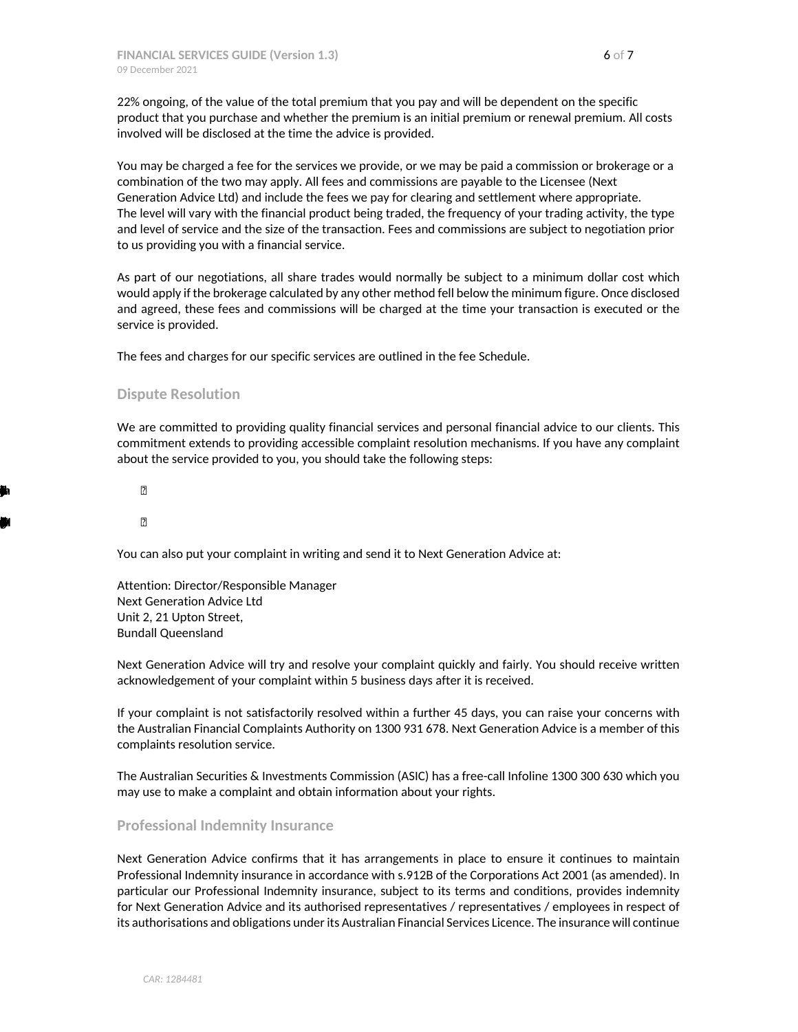22% ongoing, of the value of the total premium that you pay and will be dependent on the specific product that you purchase and whether the premium is an initial premium or renewal premium. All costs involved will be disclosed at the time the advice is provided.

You may be charged a fee for the services we provide, or we may be paid a commission or brokerage or a combination of the two may apply. All fees and commissions are payable to the Licensee (Next Generation Advice Ltd) and include the fees we pay for clearing and settlement where appropriate. The level will vary with the financial product being traded, the frequency of your trading activity, the type and level of service and the size of the transaction. Fees and commissions are subject to negotiation prior to us providing you with a financial service.

As part of our negotiations, all share trades would normally be subject to a minimum dollar cost which would apply if the brokerage calculated by any other method fell below the minimum figure. Once disclosed and agreed, these fees and commissions will be charged at the time your transaction is executed or the service is provided.

The fees and charges for our specific services are outlined in the fee Schedule.

### <span id="page-5-0"></span>**Dispute Resolution**

We are committed to providing quality financial services and personal financial advice to our clients. This commitment extends to providing accessible complaint resolution mechanisms. If you have any complaint about the service provided to you, you should take the following steps:

Contacyurepsntaivedlyourpesntaivbouyrcmplaint.Themajorityfcmplaintscberolvdthisway.

Ifyoudnthaverpsntaive,oryucmplaintsockwledgithn7ays,plecontahCmplintsMageroulicnse,NxtGnraioAdvcen07245.

You can also put your complaint in writing and send it to Next Generation Advice at:

Attention: Director/Responsible Manager Next Generation Advice Ltd Unit 2, 21 Upton Street, Bundall Queensland

Next Generation Advice will try and resolve your complaint quickly and fairly. You should receive written acknowledgement of your complaint within 5 business days after it is received.

If your complaint is not satisfactorily resolved within a further 45 days, you can raise your concerns with the Australian Financial Complaints Authority on 1300 931 678. Next Generation Advice is a member of this complaints resolution service.

The Australian Securities & Investments Commission (ASIC) has a free-call Infoline 1300 300 630 which you may use to make a complaint and obtain information about your rights.

#### <span id="page-5-1"></span>**Professional Indemnity Insurance**

Next Generation Advice confirms that it has arrangements in place to ensure it continues to maintain Professional Indemnity insurance in accordance with s.912B of the Corporations Act 2001 (as amended). In particular our Professional Indemnity insurance, subject to its terms and conditions, provides indemnity for Next Generation Advice and its authorised representatives / representatives / employees in respect of its authorisations and obligations under its Australian Financial Services Licence. The insurance will continue